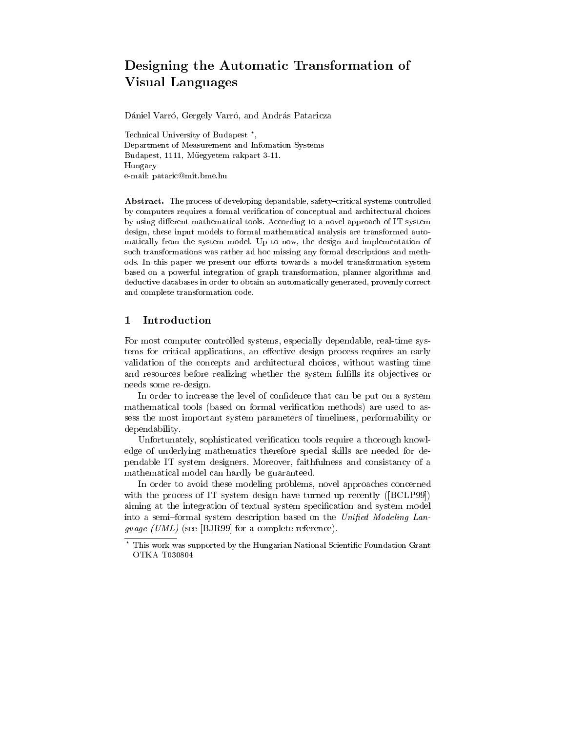# Designing the Automatic Transformation of Visual Languages

Dániel Varró, Gergely Varró, and András Pataricza

Technical University of Budapest ? , Department of Measurement and Infomation Systems Budapest, 1111, Muegyetem rakpart 3-11. Hungary e-mail: pataric@mit.bme.hu

Abstract. The process of developing depandable, safety-critical systems controlled by computers requires a formal verication of conceptual and architectural choices by using different mathematical tools. According to a novel approach of IT system design, these input models to formal mathematical analysis are transformed automatically from the system model. Up to now, the design and implementation of such transformations was rather ad hoc missing any formal descriptions and methods. In this paper we present our efforts towards a model transformation system based on a powerful integration of graph transformation, planner algorithms and deductive databases in order to obtain an automatically generated, provenly correct and complete transformation code.

### 1 Introduction

For most computer controlled systems, especially dependable, real-time systems for critical applications, an effective design process requires an early validation of the concepts and architectural choices, without wasting time and resources before realizing whether the system fulfills its objectives or needs some re-design.

In order to increase the level of confidence that can be put on a system mathematical tools (based on formal verification methods) are used to assess the most important system parameters of timeliness, performability or dependability.

Unfortunately, sophisticated verification tools require a thorough knowledge of underlying mathematics therefore special skills are needed for dependable IT system designers. Moreover, faithfulness and consistancy of a mathematical model can hardly be guaranteed.

In order to avoid these modeling problems, novel approaches concerned with the process of IT system design have turned up recently ([BCLP99]) aiming at the integration of textual system specication and system model into a semi-formal system description based on the Unified Modeling Lan- $\theta$  and  $\epsilon$  (  $\theta$  ) (see [BJR*99*] for a complete reference).

 $^{\circ}$  This work was supported by the Hungarian National Scientific Foundation Grant  $\,$ OTKA T030804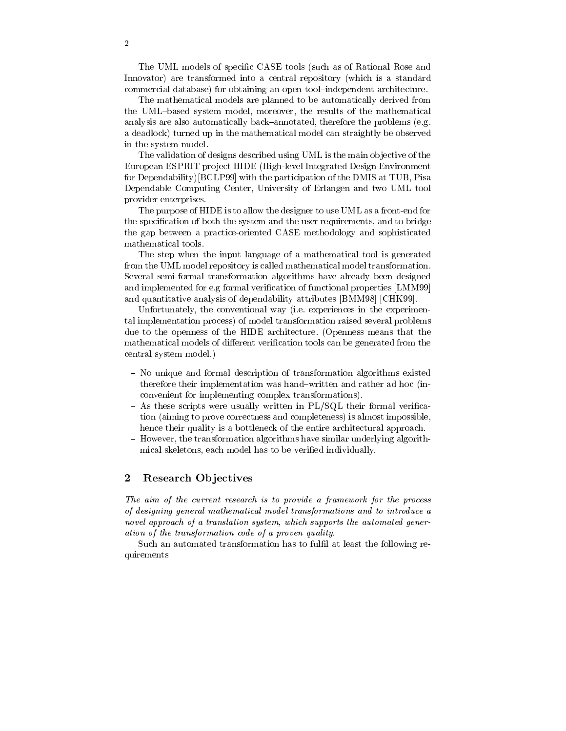The UML models of specic CASE tools (such as of Rational Rose and Innovator) are transformed into a central repository (which is a standard commercial database) for obtaining an open tool-independent architecture.

The mathematical models are planned to be automatically derived from the UML-based system model, moreover, the results of the mathematical analysis are also automatically back-annotated, therefore the problems (e.g. a deadlock) turned up in the mathematical model can straightly be observed in the system model.

The validation of designs described using UML is the main ob jective of the European ESPRIT project HIDE (High-level Integrated Design Environment for Dependability)[BCLP99] with the participation of the DMIS at TUB, Pisa Dependable Computing Center, University of Erlangen and two UML tool provider enterprises.

The purpose of HIDE is to allow the designer to use UML as a front-end for the specification of both the system and the user requirements, and to bridge the gap between a practice-oriented CASE methodology and sophisticated mathematical tools.

The step when the input language of a mathematical tool is generated from the UML model repository is called mathematical model transformation. Several semi-formal transformation algorithms have already been designed and implemented for e.g formal verification of functional properties [LMM99] and quantitative analysis of dependability attributes [BMM98] [CHK99].

Unfortunately, the conventional way (i.e. experiences in the experimental implementation process) of model transformation raised several problems due to the openness of the HIDE architecture. (Openness means that the mathematical models of different verification tools can be generated from the central system model.)

- { No unique and formal description of transformation algorithms existed therefore their implementation was hand{written and rather ad hoc (inconvenient for implementing complex transformations).
- $-$  As these scripts were usually written in PL/SQL their formal verification (aiming to prove correctness and completeness) is almost impossible, hence their quality is a bottleneck of the entire architectural approach.
- { However, the transformation algorithms have similar underlying algorithmical skeletons, each model has to be verified individually.

## 2 Research Objectives

The aim of the current research is to provide <sup>a</sup> framework for the process of designing general mathematical model transformations and to introduce anovel approach of a translation system, which supports the automated generation of the transformation code of a proven quality.

Such an automated transformation has to fulfil at least the following requirements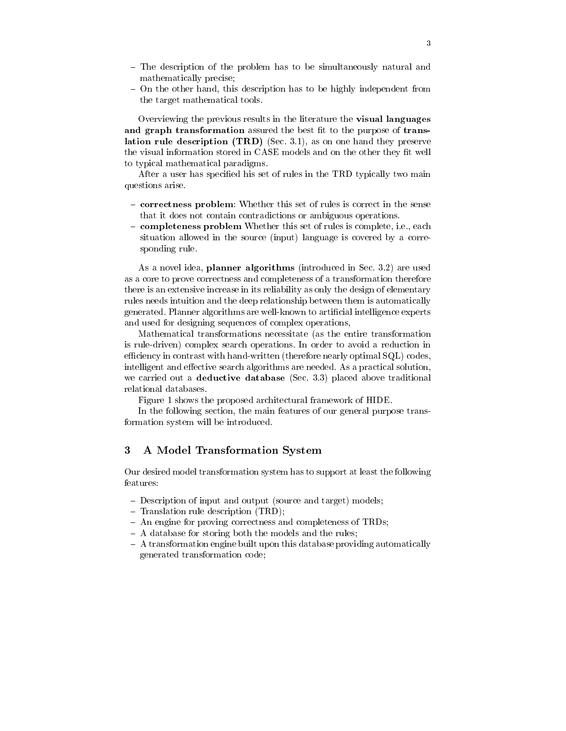- The description of the problem has to be simultaneously natural and mathematically precise;
- On the other hand, this description has to be highly independent from the target mathematical tools.

Overviewing the previous results in the literature the **visual languages** and graph transformation assured the best fit to the purpose of translation rule description (TRD) (Sec. 3.1), as on one hand they preserve the visual information stored in CASE models and on the other they fit well to typical mathematical paradigms.

After a user has specified his set of rules in the TRD typically two main questions arise.

- { correctness problem: Whether this set of rules is correct in the sense that it does not contain contradictions or ambiguous operations.
- { completeness problem Whether this set of rules is complete, i.e., each situation allowed in the source (input) language is covered by a corresponding rule.

As a novel idea, planner algorithms (introduced in Sec. 3.2) are used as a core to prove correctness and completeness of a transformation therefore there is an extensive increase in its reliability as only the design of elementary rules needs intuition and the deep relationship between them is automatically generated. Planner algorithms are well-known to articial intelligence experts and used for designing sequences of complex operations,

Mathematical transformations necessitate (as the entire transformation is rule-driven) complex search operations. In order to avoid a reduction in efficiency in contrast with hand-written (therefore nearly optimal  $SQL$ ) codes, intelligent and effective search algorithms are needed. As a practical solution, we carried out a **deductive database** (Sec. 3.3) placed above traditional relational databases.

Figure 1 shows the proposed architectural framework of HIDE.

In the following section, the main features of our general purpose transformation system will be introduced.

# 3 A Model Transformation System

Our desired model transformation system has to support at least the following features:

- Description of input and output (source and target) models;
- $-$  Translation rule description (TRD);
- An engine for proving correctness and completeness of TRDs;
- $-$  A database for storing both the models and the rules;
- $-$  A transformation engine built upon this database providing automatically generated transformation code;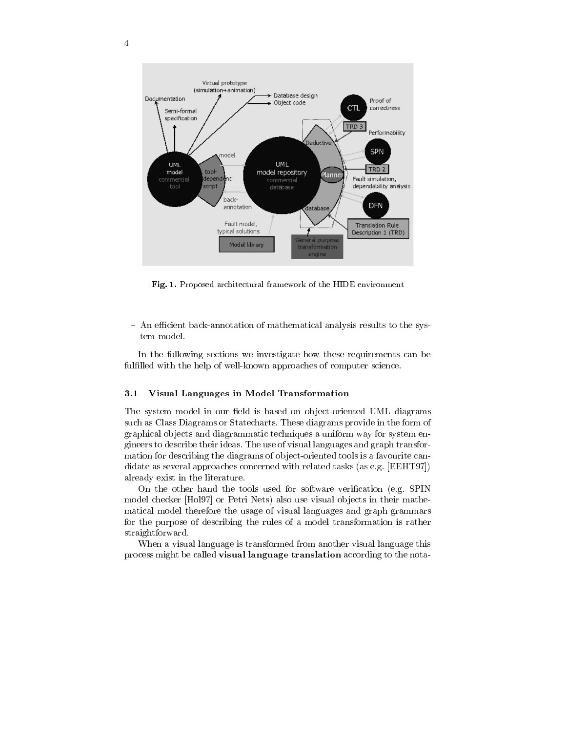

Fig. 1. Proposed architectural framework of the HIDE environment

- An efficient back-annotation of mathematical analysis results to the system model.

In the following sections we investigate how these requirements can be fulfilled with the help of well-known approaches of computer science.

#### 3.1 3.1 Visual Languages in Model Transformation

The system model in our field is based on object-oriented UML diagrams such as Class Diagrams or Statecharts. These diagrams provide in the form of graphical ob jects and diagrammatic techniques a uniform way for system engineers to describe their ideas. The use of visual languages and graph transformation for describing the diagrams of object-oriented tools is a favourite candidate as several approaches concerned with related tasks (as e.g. [EEHT97]) already exist in the literature.

On the other hand the tools used for software verication (e.g. SPIN model checker [Hol97] or Petri Nets) also use visual ob jects in their mathematical model therefore the usage of visual languages and graph grammars for the purpose of describing the rules of a model transformation is rather straightforward.

When a visual language is transformed from another visual language this process might be called visual language translation according to the nota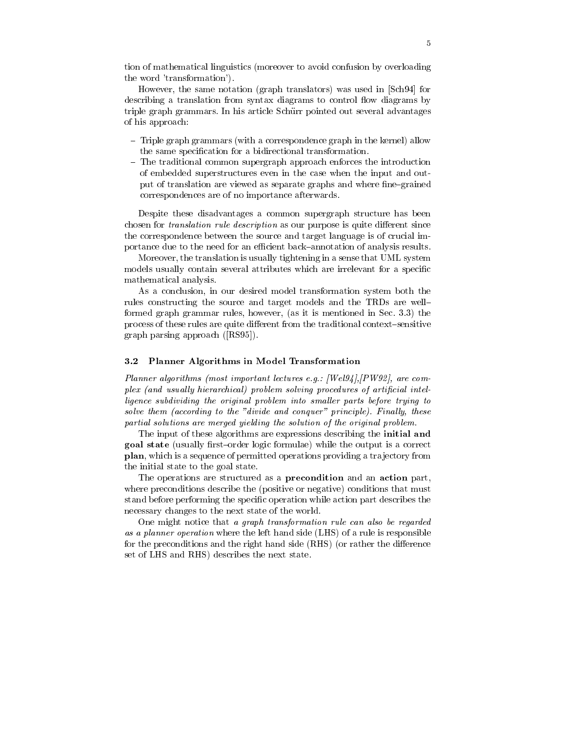tion of mathematical linguistics (moreover to avoid confusion by overloading the word 'transformation').

However, the same notation (graph translators) was used in [Sch94] for describing a translation from syntax diagrams to control flow diagrams by triple graph grammars. In his article Schürr pointed out several advantages of his approach:

- ${\rm -}$  Triple graph grammars (with a correspondence graph in the kernel) allow the same specication for a bidirectional transformation.
- { The traditional common supergraph approach enforces the introduction of embedded superstructures even in the case when the input and output of translation are viewed as separate graphs and where fine-grained correspondences are of no importance afterwards.

Despite these disadvantages a common supergraph structure has been chosen for *translation rule description* as our purpose is quite different since the correspondence between the source and target language is of crucial importance due to the need for an efficient back-annotation of analysis results.

Moreover, the translation is usually tightening in a sense that UML system models usually contain several attributes which are irrelevant for a specific mathematical analysis.

As a conclusion, in our desired model transformation system both the rules constructing the source and target models and the TRDs are wellformed graph grammar rules, however, (as it is mentioned in Sec. 3.3) the process of these rules are quite different from the traditional context-sensitive graph parsing approach ([RS95]).

### 3.2 Planner Algorithms in Model Transformation

Planner algorithms (most important lectures e.g.: [Wel94],[PW92], are complex fund usually metatement provient solving procedures of artificial intelligence subdividing the original problem into smal ler parts before trying to solve them (according to the "divide and conquer" principle). Finally, these partial solutions are merged yielding the solution of the original problem.

The input of these algorithms are expressions describing the initial and goal state (usually first-order logic formulae) while the output is a correct plan, which is a sequence of permitted operations providing a tra jectory from the initial state to the goal state.

The operations are structured as a precondition and an action part, where preconditions describe the (positive or negative) conditions that must stand before performing the specic operation while action part describes the necessary changes to the next state of the world.

One might notice that <sup>a</sup> graph transformation rule can also be regarded as a planner operation where the left hand side (LHS) of a rule is responsible for the preconditions and the right hand side (RHS) (or rather the difference set of LHS and RHS) describes the next state.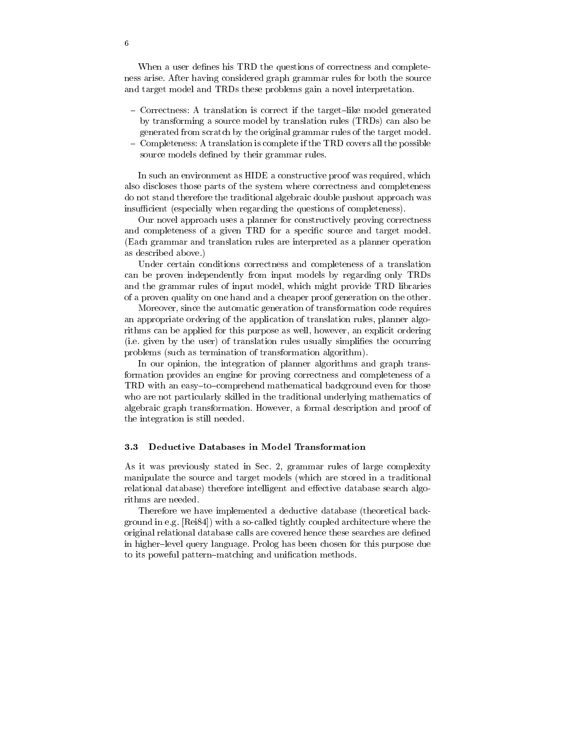When a user defines his TRD the questions of correctness and completeness arise. After having considered graph grammar rules for both the source and target model and TRDs these problems gain a novel interpretation.

- Correctness: A translation is correct if the target-like model generated by transforming a source model by translation rules (TRDs) can also be generated from scratch by the original grammar rules of the target model.
- ${\rm -}$  Completeness: A translation is complete if the TRD covers all the possible source models defined by their grammar rules.

In such an environment as HIDE a constructive proof was required, which also discloses those parts of the system where correctness and completeness do not stand therefore the traditional algebraic double pushout approach was insufficient (especially when regarding the questions of completeness).

Our novel approach uses a planner for constructively proving correctness and completeness of a given TRD for a specific source and target model. (Each grammar and translation rules are interpreted as a planner operation as described above.)

Under certain conditions correctness and completeness of a translation can be proven independently from input models by regarding only TRDs and the grammar rules of input model, which might provide TRD libraries of a proven quality on one hand and a cheaper proof generation on the other.

Moreover, since the automatic generation of transformation code requires an appropriate ordering of the application of translation rules, planner algorithms can be applied for this purpose as well, however, an explicit ordering (i.e. given by the user) of translation rules usually simplifies the occurring problems (such as termination of transformation algorithm).

In our opinion, the integration of planner algorithms and graph transformation provides an engine for proving correctness and completeness of a TRD with an easy-to-comprehend mathematical background even for those who are not particularly skilled in the traditional underlying mathematics of algebraic graph transformation. However, a formal description and proof of the integration is still needed.

### 3.3 Deductive Databases in Model Transformation

As it was previously stated in Sec. 2, grammar rules of large complexity manipulate the source and target models (which are stored in a traditional relational database) therefore intelligent and effective database search algorithms are needed.

Therefore we have implemented a deductive database (theoretical background in e.g. [Rei84]) with a so-called tightly coupled architecture where the original relational database calls are covered hence these searches are defined in higher-level query language. Prolog has been chosen for this purpose due to its poweful pattern-matching and unification methods.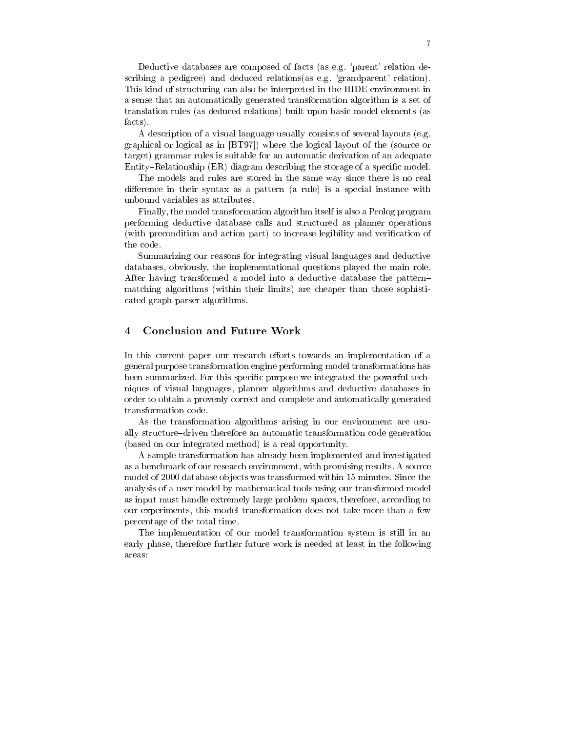Deductive databases are composed of facts (as e.g. 'parent' relation describing a pedigree) and deduced relations(as e.g. 'grandparent' relation). This kind of structuring can also be interpreted in the HIDE environment in a sense that an automatically generated transformation algorithm is a set of translation rules (as deduced relations) built upon basic model elements (as facts).

A description of a visual language usually consists of several layouts (e.g. graphical or logical as in [BT97]) where the logical layout of the (source or target) grammar rules is suitable for an automatic derivation of an adequate Entity–Relationship (ER) diagram describing the storage of a specific model.

The models and rules are stored in the same way since there is no real difference in their syntax as a pattern (a rule) is a special instance with unbound variables as attributes.

Finally, the model transformation algorithm itself is also a Prolog program performing deductive database calls and structured as planner operations (with precondition and action part) to increase legibility and verification of the code.

Summarizing our reasons for integrating visual languages and deductive databases, obviously, the implementational questions played the main role. After having transformed a model into a deductive database the pattern{ matching algorithms (within their limits) are cheaper than those sophisticated graph parser algorithms.

#### **Conclusion and Future Work**  $\overline{\mathbf{4}}$

In this current paper our research efforts towards an implementation of a general purpose transformation engine performing model transformations has been summarized. For this specific purpose we integrated the powerful techniques of visual languages, planner algorithms and deductive databases in order to obtain a provenly correct and complete and automatically generated transformation code.

As the transformation algorithms arising in our environment are usually structure-driven therefore an automatic transformation code generation (based on our integrated method) is a real opportunity.

A sample transformation has already been implemented and investigated as a benchmark of our research environment, with promising results. A source model of 2000 database objects was transformed within 15 minutes. Since the analysis of a user model by mathematical tools using our transformed model as input must handle extremely large problem spaces, therefore, according to our experiments, this model transformation does not take more than a few percentage of the total time.

The implementation of our model transformation system is still in an early phase, therefore further future work is needed at least in the following areas: